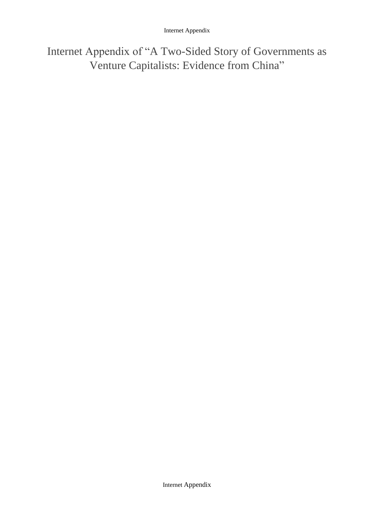Internet Appendix of "A Two-Sided Story of Governments as Venture Capitalists: Evidence from China"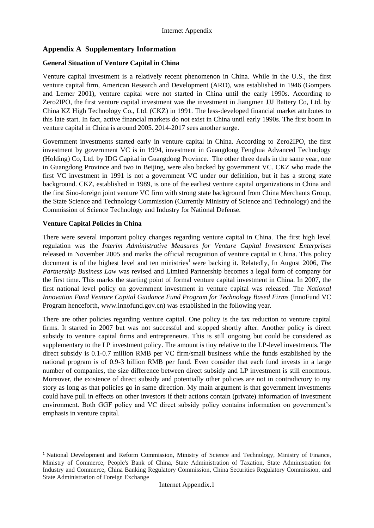### **Appendix A Supplementary Information**

### **General Situation of Venture Capital in China**

Venture capital investment is a relatively recent phenomenon in China. While in the U.S., the first venture capital firm, American Research and Development (ARD), was established in 1946 (Gompers and Lerner 2001), venture capital were not started in China until the early 1990s. According to Zero2IPO, the first venture capital investment was the investment in Jiangmen JJJ Battery Co, Ltd. by China KZ High Technology Co., Ltd. (CKZ) in 1991. The less-developed financial market attributes to this late start. In fact, active financial markets do not exist in China until early 1990s. The first boom in venture capital in China is around 2005. 2014-2017 sees another surge.

Government investments started early in venture capital in China. According to Zero2IPO, the first investment by government VC is in 1994, investment in Guangdong Fenghua Advanced Technology (Holding) Co, Ltd. by IDG Capital in Guangdong Province. The other three deals in the same year, one in Guangdong Province and two in Beijing, were also backed by government VC. CKZ who made the first VC investment in 1991 is not a government VC under our definition, but it has a strong state background. CKZ, established in 1989, is one of the earliest venture capital organizations in China and the first Sino-foreign joint venture VC firm with strong state background from China Merchants Group, the State Science and Technology Commission (Currently Ministry of Science and Technology) and the Commission of Science Technology and Industry for National Defense.

### **Venture Capital Policies in China**

 $\overline{a}$ 

There were several important policy changes regarding venture capital in China. The first high level regulation was the *Interim Administrative Measures for Venture Capital Investment Enterprises*  released in November 2005 and marks the official recognition of venture capital in China. This policy document is of the highest level and ten ministries<sup>1</sup> were backing it. Relatedly, In August 2006, *The Partnership Business Law* was revised and Limited Partnership becomes a legal form of company for the first time. This marks the starting point of formal venture capital investment in China. In 2007, the first national level policy on government investment in venture capital was released. The *National Innovation Fund Venture Capital Guidance Fund Program for Technology Based Firms* (InnoFund VC Program henceforth, www.innofund.gov.cn) was established in the following year.

There are other policies regarding venture capital. One policy is the tax reduction to venture capital firms. It started in 2007 but was not successful and stopped shortly after. Another policy is direct subsidy to venture capital firms and entrepreneurs. This is still ongoing but could be considered as supplementary to the LP investment policy. The amount is tiny relative to the LP-level investments. The direct subsidy is 0.1-0.7 million RMB per VC firm/small business while the funds established by the national program is of 0.9-3 billion RMB per fund. Even consider that each fund invests in a large number of companies, the size difference between direct subsidy and LP investment is still enormous. Moreover, the existence of direct subsidy and potentially other policies are not in contradictory to my story as long as that policies go in same direction. My main argument is that government investments could have pull in effects on other investors if their actions contain (private) information of investment environment. Both GGF policy and VC direct subsidy policy contains information on government's emphasis in venture capital.

<sup>1</sup> National Development and Reform Commission, Ministry of Science and Technology, Ministry of Finance, Ministry of Commerce, People's Bank of China, State Administration of Taxation, State Administration for Industry and Commerce, China Banking Regulatory Commission, China Securities Regulatory Commission, and State Administration of Foreign Exchange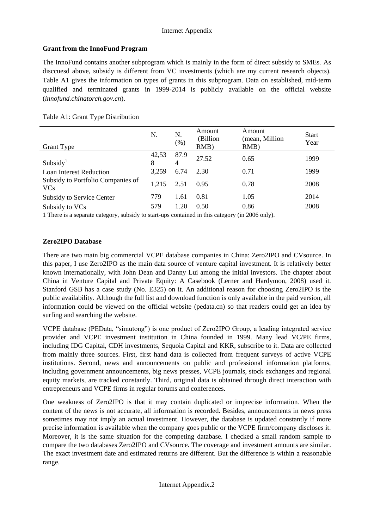## **Grant from the InnoFund Program**

The InnoFund contains another subprogram which is mainly in the form of direct subsidy to SMEs. As disccuesd above, subsidy is different from VC investments (which are my current research objects). Table A1 gives the information on types of grants in this subprogram. Data on established, mid-term qualified and terminated grants in 1999-2014 is publicly available on the official website (*innofund.chinatorch.gov.cn*).

| N.         | N.<br>$(\% )$          | Amount<br>(Billion<br>$RMB$ ) | Amount<br>(mean, Million<br>RMB) | <b>Start</b><br>Year |
|------------|------------------------|-------------------------------|----------------------------------|----------------------|
| 42,53<br>8 | 87.9<br>$\overline{4}$ | 27.52                         | 0.65                             | 1999                 |
| 3,259      | 6.74                   | 2.30                          | 0.71                             | 1999                 |
| 1.215      | 2.51                   | 0.95                          | 0.78                             | 2008                 |
| 779        | 1.61                   | 0.81                          | 1.05                             | 2014                 |
| 579        | 1.20                   | 0.50                          | 0.86                             | 2008                 |
|            |                        |                               |                                  |                      |

Table A1: Grant Type Distribution

1 There is a separate category, subsidy to start-ups contained in this category (in 2006 only).

## **Zero2IPO Database**

There are two main big commercial VCPE database companies in China: Zero2IPO and CVsource. In this paper, I use Zero2IPO as the main data source of venture capital investment. It is relatively better known internationally, with John Dean and Danny Lui among the initial investors. The chapter about China in Venture Capital and Private Equity: A Casebook (Lerner and Hardymon, 2008) used it. Stanford GSB has a case study (No. E325) on it. An additional reason for choosing Zero2IPO is the public availability. Although the full list and download function is only available in the paid version, all information could be viewed on the official website (pedata.cn) so that readers could get an idea by surfing and searching the website.

VCPE database (PEData, "simutong") is one product of Zero2IPO Group, a leading integrated service provider and VCPE investment institution in China founded in 1999. Many lead VC/PE firms, including IDG Capital, CDH investments, Sequoia Capital and KKR, subscribe to it. Data are collected from mainly three sources. First, first hand data is collected from frequent surveys of active VCPE institutions. Second, news and announcements on public and professional information platforms, including government announcements, big news presses, VCPE journals, stock exchanges and regional equity markets, are tracked constantly. Third, original data is obtained through direct interaction with entrepreneurs and VCPE firms in regular forums and conferences.

One weakness of Zero2IPO is that it may contain duplicated or imprecise information. When the content of the news is not accurate, all information is recorded. Besides, announcements in news press sometimes may not imply an actual investment. However, the database is updated constantly if more precise information is available when the company goes public or the VCPE firm/company discloses it. Moreover, it is the same situation for the competing database. I checked a small random sample to compare the two databases Zero2IPO and CVsource. The coverage and investment amounts are similar. The exact investment date and estimated returns are different. But the difference is within a reasonable range.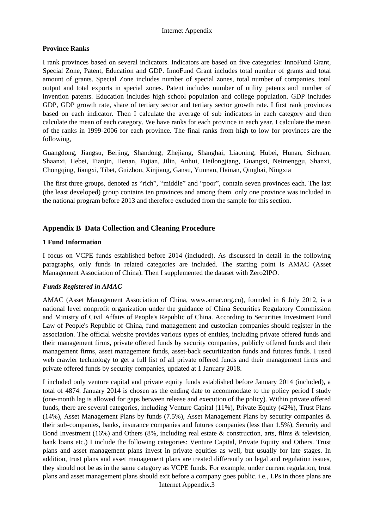#### **Province Ranks**

I rank provinces based on several indicators. Indicators are based on five categories: InnoFund Grant, Special Zone, Patent, Education and GDP. InnoFund Grant includes total number of grants and total amount of grants. Special Zone includes number of special zones, total number of companies, total output and total exports in special zones. Patent includes number of utility patents and number of invention patents. Education includes high school population and college population. GDP includes GDP, GDP growth rate, share of tertiary sector and tertiary sector growth rate. I first rank provinces based on each indicator. Then I calculate the average of sub indicators in each category and then calculate the mean of each category. We have ranks for each province in each year. I calculate the mean of the ranks in 1999-2006 for each province. The final ranks from high to low for provinces are the following,

Guangdong, Jiangsu, Beijing, Shandong, Zhejiang, Shanghai, Liaoning, Hubei, Hunan, Sichuan, Shaanxi, Hebei, Tianjin, Henan, Fujian, Jilin, Anhui, Heilongjiang, Guangxi, Neimenggu, Shanxi, Chongqing, Jiangxi, Tibet, Guizhou, Xinjiang, Gansu, Yunnan, Hainan, Qinghai, Ningxia

The first three groups, denoted as "rich", "middle" and "poor", contain seven provinces each. The last (the least developed) group contains ten provinces and among them only one province was included in the national program before 2013 and therefore excluded from the sample for this section.

### **Appendix B Data Collection and Cleaning Procedure**

### **1 Fund Information**

I focus on VCPE funds established before 2014 (included). As discussed in detail in the following paragraphs, only funds in related categories are included. The starting point is AMAC (Asset Management Association of China). Then I supplemented the dataset with Zero2IPO.

#### *Funds Registered in AMAC*

AMAC (Asset Management Association of China, www.amac.org.cn), founded in 6 July 2012, is a national level nonprofit organization under the guidance of China Securities Regulatory Commission and Ministry of Civil Affairs of People's Republic of China. According to Securities Investment Fund Law of People's Republic of China, fund management and custodian companies should register in the association. The official website provides various types of entities, including private offered funds and their management firms, private offered funds by security companies, publicly offered funds and their management firms, asset management funds, asset-back securitization funds and futures funds. I used web crawler technology to get a full list of all private offered funds and their management firms and private offered funds by security companies, updated at 1 January 2018.

I included only venture capital and private equity funds established before January 2014 (included), a total of 4874. January 2014 is chosen as the ending date to accommodate to the policy period I study (one-month lag is allowed for gaps between release and execution of the policy). Within private offered funds, there are several categories, including Venture Capital (11%), Private Equity (42%), Trust Plans (14%), Asset Management Plans by funds (7.5%), Asset Management Plans by security companies  $\&$ their sub-companies, banks, insurance companies and futures companies (less than 1.5%), Security and Bond Investment (16%) and Others (8%, including real estate & construction, arts, films & television, bank loans etc.) I include the following categories: Venture Capital, Private Equity and Others. Trust plans and asset management plans invest in private equities as well, but usually for late stages. In addition, trust plans and asset management plans are treated differently on legal and regulation issues, they should not be as in the same category as VCPE funds. For example, under current regulation, trust plans and asset management plans should exit before a company goes public. i.e., LPs in those plans are

Internet Appendix.3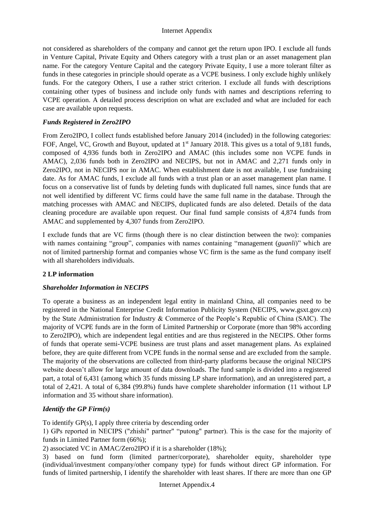not considered as shareholders of the company and cannot get the return upon IPO. I exclude all funds in Venture Capital, Private Equity and Others category with a trust plan or an asset management plan name. For the category Venture Capital and the category Private Equity, I use a more tolerant filter as funds in these categories in principle should operate as a VCPE business. I only exclude highly unlikely funds. For the category Others, I use a rather strict criterion. I exclude all funds with descriptions containing other types of business and include only funds with names and descriptions referring to VCPE operation. A detailed process description on what are excluded and what are included for each case are available upon requests.

### *Funds Registered in Zero2IPO*

From Zero2IPO, I collect funds established before January 2014 (included) in the following categories: FOF, Angel, VC, Growth and Buyout, updated at 1<sup>st</sup> January 2018. This gives us a total of 9,181 funds, composed of 4,936 funds both in Zero2IPO and AMAC (this includes some non VCPE funds in AMAC), 2,036 funds both in Zero2IPO and NECIPS, but not in AMAC and 2,271 funds only in Zero2IPO, not in NECIPS nor in AMAC. When establishment date is not available, I use fundraising date. As for AMAC funds, I exclude all funds with a trust plan or an asset management plan name. I focus on a conservative list of funds by deleting funds with duplicated full names, since funds that are not well identified by different VC firms could have the same full name in the database. Through the matching processes with AMAC and NECIPS, duplicated funds are also deleted. Details of the data cleaning procedure are available upon request. Our final fund sample consists of 4,874 funds from AMAC and supplemented by 4,307 funds from Zero2IPO.

I exclude funds that are VC firms (though there is no clear distinction between the two): companies with names containing "group", companies with names containing "management (*guanli*)" which are not of limited partnership format and companies whose VC firm is the same as the fund company itself with all shareholders individuals.

### **2 LP information**

### *Shareholder Information in NECIPS*

To operate a business as an independent legal entity in mainland China, all companies need to be registered in the National Enterprise Credit Information Publicity System (NECIPS, www.gsxt.gov.cn) by the State Administration for Industry & Commerce of the People's Republic of China (SAIC). The majority of VCPE funds are in the form of Limited Partnership or Corporate (more than 98% according to Zero2IPO), which are independent legal entities and are thus registered in the NECIPS. Other forms of funds that operate semi-VCPE business are trust plans and asset management plans. As explained before, they are quite different from VCPE funds in the normal sense and are excluded from the sample. The majority of the observations are collected from third-party platforms because the original NECIPS website doesn't allow for large amount of data downloads. The fund sample is divided into a registered part, a total of 6,431 (among which 35 funds missing LP share information), and an unregistered part, a total of 2,421. A total of 6,384 (99.8%) funds have complete shareholder information (11 without LP information and 35 without share information).

## *Identify the GP Firm(s)*

To identify GP(s), I apply three criteria by descending order

1) GPs reported in NECIPS ("zhishi" partner" "putong" partner). This is the case for the majority of funds in Limited Partner form (66%);

2) associated VC in AMAC/Zero2IPO if it is a shareholder (18%);

3) based on fund form (limited partner/corporate), shareholder equity, shareholder type (individual/investment company/other company type) for funds without direct GP information. For funds of limited partnership, I identify the shareholder with least shares. If there are more than one GP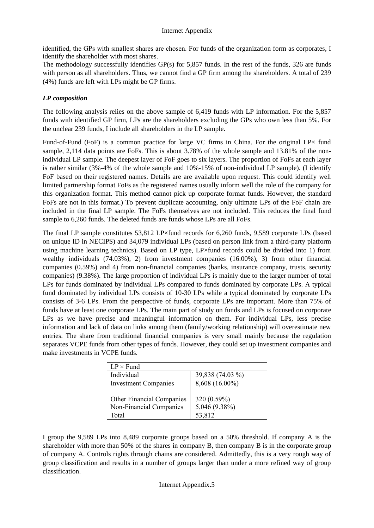identified, the GPs with smallest shares are chosen. For funds of the organization form as corporates, I identify the shareholder with most shares.

The methodology successfully identifies GP(s) for 5,857 funds. In the rest of the funds, 326 are funds with person as all shareholders. Thus, we cannot find a GP firm among the shareholders. A total of 239 (4%) funds are left with LPs might be GP firms.

### *LP composition*

The following analysis relies on the above sample of 6,419 funds with LP information. For the 5,857 funds with identified GP firm, LPs are the shareholders excluding the GPs who own less than 5%. For the unclear 239 funds, I include all shareholders in the LP sample.

Fund-of-Fund (FoF) is a common practice for large VC firms in China. For the original  $LP\times$  fund sample, 2,114 data points are FoFs. This is about 3.78% of the whole sample and 13.81% of the nonindividual LP sample. The deepest layer of FoF goes to six layers. The proportion of FoFs at each layer is rather similar (3%-4% of the whole sample and 10%-15% of non-individual LP sample). (I identify FoF based on their registered names. Details are are available upon request. This could identify well limited partnership format FoFs as the registered names usually inform well the role of the company for this organization format. This method cannot pick up corporate format funds. However, the standard FoFs are not in this format.) To prevent duplicate accounting, only ultimate LPs of the FoF chain are included in the final LP sample. The FoFs themselves are not included. This reduces the final fund sample to 6,260 funds. The deleted funds are funds whose LPs are all FoFs.

The final LP sample constitutes 53,812 LP×fund records for 6,260 funds, 9,589 corporate LPs (based on unique ID in NECIPS) and 34,079 individual LPs (based on person link from a third-party platform using machine learning technics). Based on LP type, LP×fund records could be divided into 1) from wealthy individuals (74.03%), 2) from investment companies (16.00%), 3) from other financial companies (0.59%) and 4) from non-financial companies (banks, insurance company, trusts, security companies) (9.38%). The large proportion of individual LPs is mainly due to the larger number of total LPs for funds dominated by individual LPs compared to funds dominated by corporate LPs. A typical fund dominated by individual LPs consists of 10-30 LPs while a typical dominated by corporate LPs consists of 3-6 LPs. From the perspective of funds, corporate LPs are important. More than 75% of funds have at least one corporate LPs. The main part of study on funds and LPs is focused on corporate LPs as we have precise and meaningful information on them. For individual LPs, less precise information and lack of data on links among them (family/working relationship) will overestimate new entries. The share from traditional financial companies is very small mainly because the regulation separates VCPE funds from other types of funds. However, they could set up investment companies and make investments in VCPE funds.

| $LP \times Fund$            |                  |
|-----------------------------|------------------|
| Individual                  | 39,838 (74.03 %) |
| <b>Investment Companies</b> | 8,608 (16.00%)   |
|                             |                  |
| Other Financial Companies   | 320 (0.59%)      |
| Non-Financial Companies     | 5,046 (9.38%)    |
| Total                       | 53,812           |

I group the 9,589 LPs into 8,489 corporate groups based on a 50% threshold. If company A is the shareholder with more than 50% of the shares in company B, then company B is in the corporate group of company A. Controls rights through chains are considered. Admittedly, this is a very rough way of group classification and results in a number of groups larger than under a more refined way of group classification.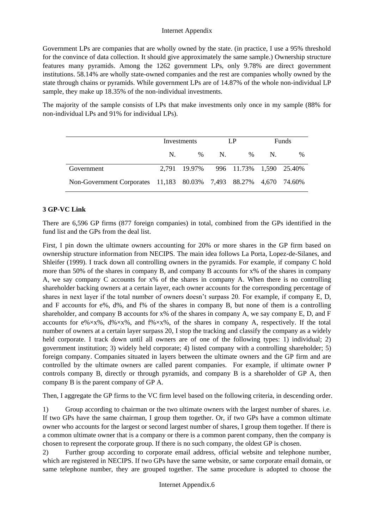Government LPs are companies that are wholly owned by the state. (in practice, I use a 95% threshold for the convince of data collection. It should give approximately the same sample.) Ownership structure features many pyramids. Among the 1262 government LPs, only 9.78% are direct government institutions. 58.14% are wholly state-owned companies and the rest are companies wholly owned by the state through chains or pyramids. While government LPs are of 14.87% of the whole non-individual LP sample, they make up 18.35% of the non-individual investments.

The majority of the sample consists of LPs that make investments only once in my sample (88% for non-individual LPs and 91% for individual LPs).

|                                                                   |    | Investments                          |    | LP.  | <b>Funds</b> |      |  |
|-------------------------------------------------------------------|----|--------------------------------------|----|------|--------------|------|--|
|                                                                   | N. | $\%$                                 | N. | $\%$ | $N_{\rm{L}}$ | $\%$ |  |
| Government                                                        |    | 2,791 19.97% 996 11.73% 1,590 25.40% |    |      |              |      |  |
| Non-Government Corporates 11,183 80.03% 7,493 88.27% 4,670 74.60% |    |                                      |    |      |              |      |  |

### **3 GP-VC Link**

There are 6,596 GP firms (877 foreign companies) in total, combined from the GPs identified in the fund list and the GPs from the deal list.

First, I pin down the ultimate owners accounting for 20% or more shares in the GP firm based on ownership structure information from NECIPS. The main idea follows La Porta, Lopez-de-Silanes, and Shleifer (1999). I track down all controlling owners in the pyramids. For example, if company C hold more than 50% of the shares in company B, and company B accounts for x% of the shares in company A, we say company C accounts for x% of the shares in company A. When there is no controlling shareholder backing owners at a certain layer, each owner accounts for the corresponding percentage of shares in next layer if the total number of owners doesn't surpass 20. For example, if company E, D, and F accounts for e%, d%, and f% of the shares in company B, but none of them is a controlling shareholder, and company B accounts for x% of the shares in company A, we say company E, D, and F accounts for  $e\frac{1}{2}x\frac{1}{2}$ ,  $d\frac{1}{2}x\frac{1}{2}$ , and  $f\frac{1}{2}x\frac{1}{2}$ , of the shares in company A, respectively. If the total number of owners at a certain layer surpass 20, I stop the tracking and classify the company as a widely held corporate. I track down until all owners are of one of the following types: 1) individual; 2) government institution; 3) widely held corporate; 4) listed company with a controlling shareholder; 5) foreign company. Companies situated in layers between the ultimate owners and the GP firm and are controlled by the ultimate owners are called parent companies. For example, if ultimate owner P controls company B, directly or through pyramids, and company B is a shareholder of GP A, then company B is the parent company of GP A.

Then, I aggregate the GP firms to the VC firm level based on the following criteria, in descending order.

1) Group according to chairman or the two ultimate owners with the largest number of shares. i.e. If two GPs have the same chairman, I group them together. Or, if two GPs have a common ultimate owner who accounts for the largest or second largest number of shares, I group them together. If there is a common ultimate owner that is a company or there is a common parent company, then the company is chosen to represent the corporate group. If there is no such company, the oldest GP is chosen.

2) Further group according to corporate email address, official website and telephone number, which are registered in NECIPS. If two GPs have the same website, or same corporate email domain, or same telephone number, they are grouped together. The same procedure is adopted to choose the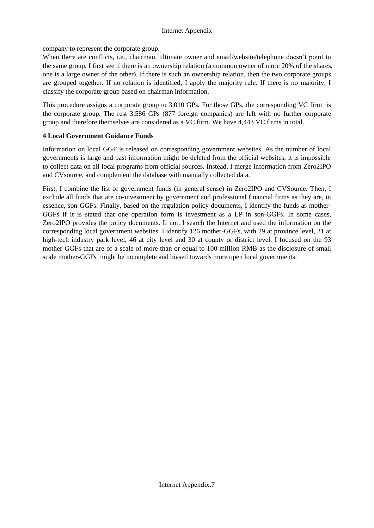company to represent the corporate group.

When there are conflicts, i.e., chairman, ultimate owner and email/website/telephone doesn't point to the same group, I first see if there is an ownership relation (a common owner of more 20% of the shares, one is a large owner of the other). If there is such an ownership relation, then the two corporate groups are grouped together. If no relation is identified, I apply the majority rule. If there is no majority, I classify the corporate group based on chairman information.

This procedure assigns a corporate group to 3,010 GPs. For those GPs, the corresponding VC firm is the corporate group. The rest 3,586 GPs (877 foreign companies) are left with no further corporate group and therefore themselves are considered as a VC firm. We have 4,443 VC firms in total.

### **4 Local Government Guidance Funds**

Information on local GGF is released on corresponding government websites. As the number of local governments is large and past information might be deleted from the official websites, it is impossible to collect data on all local programs from official sources. Instead, I merge information from Zero2IPO and CVsource, and complement the database with manually collected data.

First, I combine the list of government funds (in general sense) in Zero2IPO and CVSource. Then, I exclude all funds that are co-investment by government and professional financial firms as they are, in essence, son-GGFs. Finally, based on the regulation policy documents, I identify the funds as mother-GGFs if it is stated that one operation form is investment as a LP in son-GGFs. In some cases, Zero2IPO provides the policy documents. If not, I search the Internet and used the information on the corresponding local government websites. I identify 126 mother-GGFs, with 29 at province level, 21 at high-tech industry park level, 46 at city level and 30 at county or district level. I focused on the 93 mother-GGFs that are of a scale of more than or equal to 100 million RMB as the disclosure of small scale mother-GGFs might be incomplete and biased towards more open local governments.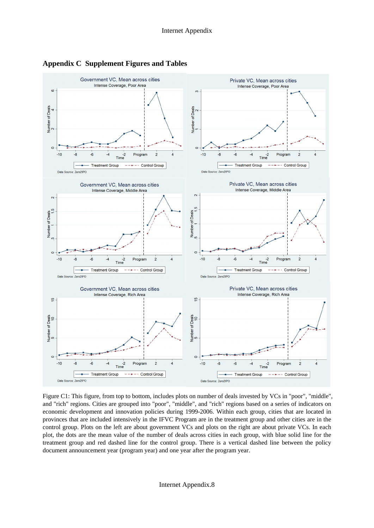

**Appendix C Supplement Figures and Tables**

Figure C1: This figure, from top to bottom, includes plots on number of deals invested by VCs in "poor", "middle", and "rich" regions. Cities are grouped into "poor", "middle", and "rich" regions based on a series of indicators on economic development and innovation policies during 1999-2006. Within each group, cities that are located in provinces that are included intensively in the IFVC Program are in the treatment group and other cities are in the control group. Plots on the left are about government VCs and plots on the right are about private VCs. In each plot, the dots are the mean value of the number of deals across cities in each group, with blue solid line for the treatment group and red dashed line for the control group. There is a vertical dashed line between the policy document announcement year (program year) and one year after the program year.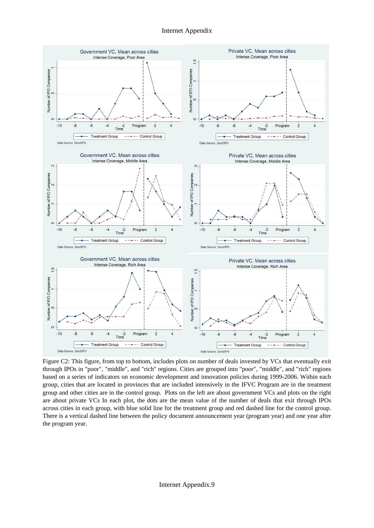

Figure C2: This figure, from top to bottom, includes plots on number of deals invested by VCs that eventually exit through IPOs in "poor", "middle", and "rich" regions. Cities are grouped into "poor", "middle", and "rich" regions based on a series of indicators on economic development and innovation policies during 1999-2006. Within each group, cities that are located in provinces that are included intensively in the IFVC Program are in the treatment group and other cities are in the control group. Plots on the left are about government VCs and plots on the right are about private VCs In each plot, the dots are the mean value of the number of deals that exit through IPOs across cities in each group, with blue solid line for the treatment group and red dashed line for the control group. There is a vertical dashed line between the policy document announcement year (program year) and one year after the program year.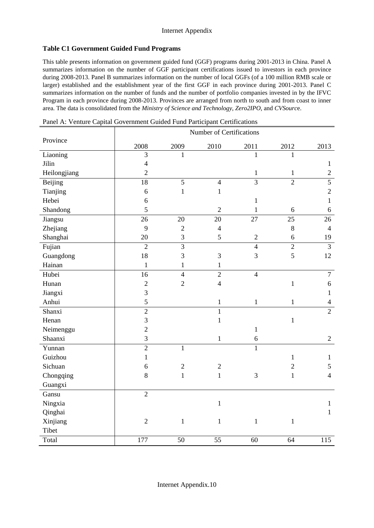#### **Table C1 Government Guided Fund Programs**

This table presents information on government guided fund (GGF) programs during 2001-2013 in China. Panel A summarizes information on the number of GGF participant certifications issued to investors in each province during 2008-2013. Panel B summarizes information on the number of local GGFs (of a 100 million RMB scale or larger) established and the establishment year of the first GGF in each province during 2001-2013. Panel C summarizes information on the number of funds and the number of portfolio companies invested in by the IFVC Program in each province during 2008-2013. Provinces are arranged from north to south and from coast to inner area. The data is consolidated from the *Ministry of Science and Technology*, *Zero2IPO*, and *CVSourc*e.

Panel A: Venture Capital Government Guided Fund Participant Certifications

|                |                 |                | Number of Certifications |                |                |                |
|----------------|-----------------|----------------|--------------------------|----------------|----------------|----------------|
| Province       | 2008            | 2009           | 2010                     | 2011           | 2012           | 2013           |
| Liaoning       | 3               | 1              |                          | $\mathbf{1}$   | 1              |                |
| Jilin          | $\overline{4}$  |                |                          |                |                | $\mathbf{1}$   |
| Heilongjiang   | $\overline{c}$  |                |                          | $\mathbf{1}$   | $\mathbf{1}$   | $\sqrt{2}$     |
| <b>Beijing</b> | $\overline{18}$ | 5              | $\overline{4}$           | $\overline{3}$ | $\overline{2}$ | $\overline{5}$ |
| Tianjing       | 6               | $\,1$          | $\mathbf{1}$             |                |                | $\sqrt{2}$     |
| Hebei          | 6               |                |                          | $\mathbf{1}$   |                | $\mathbf{1}$   |
| Shandong       | 5               |                | $\overline{2}$           | $\mathbf{1}$   | 6              | $\sqrt{6}$     |
| Jiangsu        | 26              | 20             | 20                       | 27             | 25             | 26             |
| Zhejiang       | 9               | $\overline{2}$ | $\overline{4}$           |                | 8              | $\overline{4}$ |
| Shanghai       | 20              | 3              | 5                        | $\overline{2}$ | 6              | 19             |
| Fujian         | $\overline{2}$  | $\overline{3}$ |                          | $\overline{4}$ | $\overline{2}$ | $\overline{3}$ |
| Guangdong      | 18              | 3              | 3                        | 3              | 5              | 12             |
| Hainan         | $\mathbf{1}$    | $\mathbf{1}$   | $\mathbf{1}$             |                |                |                |
| Hubei          | 16              | $\overline{4}$ | $\overline{2}$           | $\overline{4}$ |                | $\overline{7}$ |
| Hunan          | $\overline{2}$  | $\overline{2}$ | $\overline{4}$           |                | $\mathbf{1}$   | $\sqrt{6}$     |
| Jiangxi        | 3               |                |                          |                |                | $\mathbf{1}$   |
| Anhui          | 5               |                | $\mathbf{1}$             | $\mathbf{1}$   | $\mathbf{1}$   | $\overline{4}$ |
| Shanxi         | $\overline{2}$  |                | $\mathbf{1}$             |                |                | $\overline{2}$ |
| Henan          | 3               |                | $\mathbf{1}$             |                | $\,1$          |                |
| Neimenggu      | $\overline{2}$  |                |                          | $\mathbf{1}$   |                |                |
| Shaanxi        | 3               |                | $\mathbf{1}$             | 6              |                | $\overline{2}$ |
| Yunnan         | $\overline{c}$  | $\mathbf{1}$   |                          | $\mathbf{1}$   |                |                |
| Guizhou        | $\mathbf{1}$    |                |                          |                | $\,1$          | $\mathbf{1}$   |
| Sichuan        | 6               | $\overline{2}$ | $\sqrt{2}$               |                | $\overline{2}$ | 5              |
| Chongqing      | 8               | $\mathbf{1}$   | $\mathbf{1}$             | 3              | $\mathbf{1}$   | $\overline{4}$ |
| Guangxi        |                 |                |                          |                |                |                |
| Gansu          | $\overline{2}$  |                |                          |                |                |                |
| Ningxia        |                 |                | $\mathbf{1}$             |                |                | $\mathbf{1}$   |
| Qinghai        |                 |                |                          |                |                | $\mathbf{1}$   |
| Xinjiang       | $\sqrt{2}$      | $\mathbf 1$    | $\mathbf{1}$             | $\mathbf{1}$   | $\mathbf{1}$   |                |
| Tibet          |                 |                |                          |                |                |                |
| Total          | 177             | 50             | 55                       | 60             | 64             | 115            |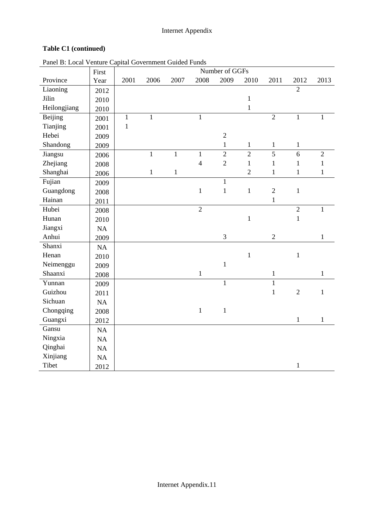## **Table C1 (continued)**

| $\alpha$ and $\beta$ . Even $\beta$ email eaglim covernment calud T and | First |              |              |              |                | Number of GGFs |                |                |                |                |
|-------------------------------------------------------------------------|-------|--------------|--------------|--------------|----------------|----------------|----------------|----------------|----------------|----------------|
| Province                                                                | Year  | 2001         | 2006         | 2007         | 2008           | 2009           | 2010           | 2011           | 2012           | 2013           |
| Liaoning                                                                | 2012  |              |              |              |                |                |                |                | $\overline{2}$ |                |
| Jilin                                                                   | 2010  |              |              |              |                |                | $\,1$          |                |                |                |
| Heilongjiang                                                            | 2010  |              |              |              |                |                | $\mathbf{1}$   |                |                |                |
| Beijing                                                                 | 2001  | $\mathbf{1}$ | $\mathbf{1}$ |              | $\mathbf{1}$   |                |                | $\overline{2}$ | $\mathbf{1}$   | $\mathbf{1}$   |
| Tianjing                                                                | 2001  | $\mathbf{1}$ |              |              |                |                |                |                |                |                |
| Hebei                                                                   | 2009  |              |              |              |                | $\overline{2}$ |                |                |                |                |
| Shandong                                                                | 2009  |              |              |              |                | $\mathbf{1}$   | $\mathbf{1}$   | $\mathbf{1}$   | $\mathbf{1}$   |                |
| Jiangsu                                                                 | 2006  |              | $\mathbf{1}$ | $\mathbf{1}$ | $\mathbf{1}$   | $\overline{2}$ | $\overline{2}$ | $\overline{5}$ | 6              | $\overline{2}$ |
| Zhejiang                                                                | 2008  |              |              |              | $\overline{4}$ | $\overline{2}$ | $\mathbf{1}$   | $\mathbf{1}$   | $\mathbf{1}$   | $\mathbf{1}$   |
| Shanghai                                                                | 2006  |              | $\,1$        | $\mathbf{1}$ |                |                | $\overline{2}$ | $\mathbf{1}$   | $\mathbf{1}$   | $\mathbf{1}$   |
| Fujian                                                                  | 2009  |              |              |              |                | $\mathbf{1}$   |                |                |                |                |
| Guangdong                                                               | 2008  |              |              |              | $\,1$          | $\mathbf{1}$   | $\mathbf{1}$   | $\sqrt{2}$     | $\mathbf 1$    |                |
| Hainan                                                                  | 2011  |              |              |              |                |                |                | $\mathbf{1}$   |                |                |
| Hubei                                                                   | 2008  |              |              |              | $\overline{2}$ |                |                |                | $\overline{2}$ | $\,1\,$        |
| Hunan                                                                   | 2010  |              |              |              |                |                | $\mathbf{1}$   |                | $\mathbf{1}$   |                |
| Jiangxi                                                                 | NA    |              |              |              |                |                |                |                |                |                |
| Anhui                                                                   | 2009  |              |              |              |                | $\mathfrak{Z}$ |                | $\sqrt{2}$     |                | $\mathbf 1$    |
| Shanxi                                                                  | NA    |              |              |              |                |                |                |                |                |                |
| Henan                                                                   | 2010  |              |              |              |                |                | $\mathbf{1}$   |                | $\mathbf 1$    |                |
| Neimenggu                                                               | 2009  |              |              |              |                | $\mathbf{1}$   |                |                |                |                |
| Shaanxi                                                                 | 2008  |              |              |              | $\,1$          |                |                | $\,1$          |                | $\,1\,$        |
| Yunnan                                                                  | 2009  |              |              |              |                | $\mathbf{1}$   |                | $\mathbf{1}$   |                |                |
| Guizhou                                                                 | 2011  |              |              |              |                |                |                | $\mathbf{1}$   | $\overline{2}$ | $\,1$          |
| Sichuan                                                                 | NA    |              |              |              |                |                |                |                |                |                |
| Chongqing                                                               | 2008  |              |              |              | $\mathbf{1}$   | $\mathbf{1}$   |                |                |                |                |
| Guangxi                                                                 | 2012  |              |              |              |                |                |                |                | $\mathbf 1$    | $\mathbf{1}$   |
| Gansu                                                                   | NA    |              |              |              |                |                |                |                |                |                |
| Ningxia                                                                 | NA    |              |              |              |                |                |                |                |                |                |
| Qinghai                                                                 | NA    |              |              |              |                |                |                |                |                |                |
| Xinjiang                                                                | NA    |              |              |              |                |                |                |                |                |                |
| Tibet                                                                   | 2012  |              |              |              |                |                |                |                | $\mathbf{1}$   |                |

Panel B: Local Venture Capital Government Guided Funds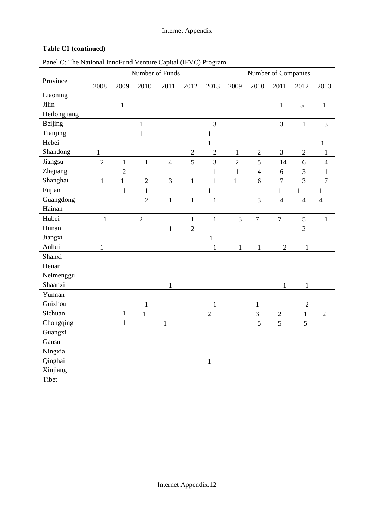# **Table C1 (continued)**

| Panel C: The National InnoFund Venture Capital (IFVC) Program |  |
|---------------------------------------------------------------|--|
|---------------------------------------------------------------|--|

|                |                |                | Number of Funds |                |                |                  |                |                | Number of Companies |                |                  |
|----------------|----------------|----------------|-----------------|----------------|----------------|------------------|----------------|----------------|---------------------|----------------|------------------|
| Province       | 2008           | 2009           | 2010            | 2011           | 2012           | 2013             | 2009           | 2010           | 2011                | 2012           | 2013             |
| Liaoning       |                |                |                 |                |                |                  |                |                |                     |                |                  |
| Jilin          |                | $\mathbf{1}$   |                 |                |                |                  |                |                | $\mathbf{1}$        | $\mathfrak{S}$ | $\mathbf{1}$     |
| Heilongjiang   |                |                |                 |                |                |                  |                |                |                     |                |                  |
| <b>Beijing</b> |                |                | $\mathbf{1}$    |                |                | $\overline{3}$   |                |                | $\overline{3}$      | $\,1\,$        | $\mathfrak{Z}$   |
| Tianjing       |                |                | $\mathbf 1$     |                |                | $\mathbf{1}$     |                |                |                     |                |                  |
| Hebei          |                |                |                 |                |                | $\mathbf{1}$     |                |                |                     |                | $\mathbf{1}$     |
| Shandong       | $\mathbf{1}$   |                |                 |                | $\mathbf{2}$   | $\mathbf{2}$     | $\mathbf{1}$   | $\overline{2}$ | 3                   | $\overline{2}$ | $\mathbf{1}$     |
| Jiangsu        | $\overline{2}$ | $\,1\,$        | $\mathbf{1}$    | $\overline{4}$ | $\overline{5}$ | 3                | $\overline{2}$ | 5              | 14                  | 6              | $\overline{4}$   |
| Zhejiang       |                | $\overline{2}$ |                 |                |                | $\mathbf{1}$     | $\mathbf{1}$   | $\overline{4}$ | 6                   | 3              | $\mathbf{1}$     |
| Shanghai       | $\mathbf{1}$   | $\mathbf{1}$   | $\overline{2}$  | 3              | $\mathbf{1}$   | $\mathbf{1}$     | $\mathbf{1}$   | 6              | $\tau$              | 3              | $\boldsymbol{7}$ |
| Fujian         |                | $\mathbf{1}$   | $\mathbf{1}$    |                |                | $\mathbf{1}$     |                |                | $\mathbf{1}$        | $\mathbf{1}$   | $\mathbf{1}$     |
| Guangdong      |                |                | $\overline{2}$  | $\mathbf 1$    | $\mathbf 1$    | $\mathbf 1$      |                | 3              | $\overline{4}$      | $\overline{4}$ | $\overline{4}$   |
| Hainan         |                |                |                 |                |                |                  |                |                |                     |                |                  |
| Hubei          | $\mathbf{1}$   |                | $\overline{2}$  |                | $\mathbf{1}$   | $\mathbf{1}$     | $\overline{3}$ | $\overline{7}$ | $\overline{7}$      | 5              | $\mathbf{1}$     |
| Hunan          |                |                |                 | $\,1\,$        | $\overline{2}$ |                  |                |                |                     | $\overline{2}$ |                  |
| Jiangxi        |                |                |                 |                |                | $\mathbf{1}$     |                |                |                     |                |                  |
| Anhui          | $\mathbf{1}$   |                |                 |                |                | $\mathbf{1}$     | $\mathbf{1}$   | $\mathbf{1}$   | $\sqrt{2}$          | $\mathbf{1}$   |                  |
| Shanxi         |                |                |                 |                |                |                  |                |                |                     |                |                  |
| Henan          |                |                |                 |                |                |                  |                |                |                     |                |                  |
| Neimenggu      |                |                |                 |                |                |                  |                |                |                     |                |                  |
| Shaanxi        |                |                |                 | $\mathbf{1}$   |                |                  |                |                | $\mathbf{1}$        | $\mathbf{1}$   |                  |
| Yunnan         |                |                |                 |                |                |                  |                |                |                     |                |                  |
| Guizhou        |                |                | $\mathbf{1}$    |                |                | $\mathbf{1}$     |                | $\mathbf 1$    |                     | $\sqrt{2}$     |                  |
| Sichuan        |                | $\mathbf 1$    | $\mathbf{1}$    |                |                | $\boldsymbol{2}$ |                | 3              | $\sqrt{2}$          | $\mathbf{1}$   | $\sqrt{2}$       |
| Chongqing      |                | $\mathbf 1$    |                 | $\mathbf{1}$   |                |                  |                | 5              | 5                   | 5              |                  |
| Guangxi        |                |                |                 |                |                |                  |                |                |                     |                |                  |
| Gansu          |                |                |                 |                |                |                  |                |                |                     |                |                  |
| Ningxia        |                |                |                 |                |                |                  |                |                |                     |                |                  |
| Qinghai        |                |                |                 |                |                | $\,1$            |                |                |                     |                |                  |
| Xinjiang       |                |                |                 |                |                |                  |                |                |                     |                |                  |
| Tibet          |                |                |                 |                |                |                  |                |                |                     |                |                  |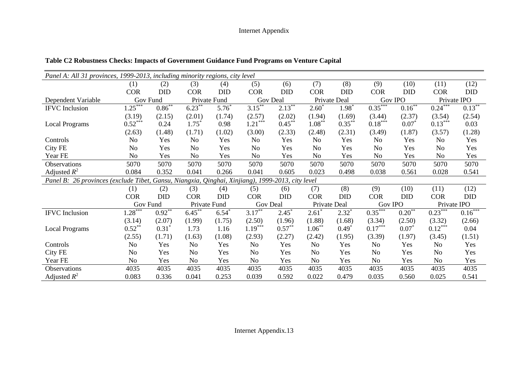|                                       | Panel A: All 31 provinces, 1999-2013, including minority regions, city level |                     |                     |              |                                                            |            |                  |                   |                       |                |                       |             |
|---------------------------------------|------------------------------------------------------------------------------|---------------------|---------------------|--------------|------------------------------------------------------------|------------|------------------|-------------------|-----------------------|----------------|-----------------------|-------------|
|                                       | (1)                                                                          | (2)                 | (3)                 | (4)          | (5)                                                        | (6)        | (7)              | (8)               | (9)                   | (10)           | (11)                  | (12)        |
|                                       | <b>COR</b>                                                                   | DID                 | <b>COR</b>          | <b>DID</b>   | <b>COR</b>                                                 | <b>DID</b> | <b>COR</b>       | <b>DID</b>        | <b>COR</b>            | <b>DID</b>     | <b>COR</b>            | <b>DID</b>  |
| Dependent Variable                    | Gov Fund                                                                     |                     |                     | Private Fund |                                                            | Gov Deal   |                  | Private Deal      |                       | <b>Gov IPO</b> |                       | Private IPO |
| <b>IFVC</b> Inclusion                 | $1.25***$                                                                    | $0.86^{**}$         | 6.23                | $5.76*$      | $3.15***$                                                  | $2.13***$  | $2.60^{\degree}$ | 1.98 <sup>*</sup> | $0.35***$             | $0.16***$      | $0.24$ <sup>***</sup> | $0.13***$   |
|                                       | (3.19)                                                                       | (2.15)              | (2.01)              | (1.74)       | (2.57)                                                     | (2.02)     | (1.94)           | (1.69)            | (3.44)                | (2.37)         | (3.54)                | (2.54)      |
| <b>Local Programs</b>                 | $0.52***$                                                                    | 0.24                | $1.75$ <sup>*</sup> | 0.98         | $1.21***$                                                  | $0.45***$  | $1.08***$        | $0.35***$         | $0.18***$             | $0.07*$        | $0.13***$             | 0.03        |
|                                       | (2.63)                                                                       | (1.48)              | (1.71)              | (1.02)       | (3.00)                                                     | (2.33)     | (2.48)           | (2.31)            | (3.49)                | (1.87)         | (3.57)                | (1.28)      |
| Controls                              | No                                                                           | Yes                 | N <sub>0</sub>      | Yes          | N <sub>o</sub>                                             | Yes        | N <sub>o</sub>   | Yes               | No                    | Yes            | N <sub>0</sub>        | Yes         |
| City FE                               | No                                                                           | Yes                 | N <sub>o</sub>      | Yes          | N <sub>0</sub>                                             | Yes        | N <sub>o</sub>   | Yes               | No                    | Yes            | N <sub>o</sub>        | Yes         |
| Year FE                               | No                                                                           | Yes                 | N <sub>0</sub>      | Yes          | No                                                         | Yes        | N <sub>o</sub>   | Yes               | No                    | Yes            | N <sub>o</sub>        | Yes         |
| Observations                          | 5070                                                                         | 5070                | 5070                | 5070         | 5070                                                       | 5070       | 5070             | 5070              | 5070                  | 5070           | 5070                  | 5070        |
| Adjusted $R^2$                        | 0.084                                                                        | 0.352               | 0.041               | 0.266        | 0.041                                                      | 0.605      | 0.023            | 0.498             | 0.038                 | 0.561          | 0.028                 | 0.541       |
| Panel B: 26 provinces (exclude Tibet, |                                                                              |                     |                     |              | Gansu, Niangxia, Qinghai, Xinjiang), 1999-2013, city level |            |                  |                   |                       |                |                       |             |
|                                       | (1)                                                                          | (2)                 | (3)                 | (4)          | (5)                                                        | (6)        | (7)              | (8)               | (9)                   | (10)           | (11)                  | (12)        |
|                                       | <b>COR</b>                                                                   | <b>DID</b>          | <b>COR</b>          | <b>DID</b>   | <b>COR</b>                                                 | <b>DID</b> | <b>COR</b>       | <b>DID</b>        | <b>COR</b>            | <b>DID</b>     | <b>COR</b>            | <b>DID</b>  |
|                                       | Gov Fund                                                                     |                     | Private Fund        |              | Gov Deal                                                   |            | Private Deal     |                   | <b>Gov IPO</b>        |                | Private IPO           |             |
| <b>IFVC</b> Inclusion                 | $1.28***$                                                                    | $0.92***$           | $6.45***$           | $6.54*$      | $3.17***$                                                  | $2.45^*$   | $2.61^*$         | $2.32^*$          | $0.35$ <sup>***</sup> | $0.20***$      | $0.23***$             | $0.16***$   |
|                                       | (3.14)                                                                       | (2.07)              | (1.99)              | (1.75)       | (2.50)                                                     | (1.96)     | (1.88)           | (1.68)            | (3.34)                | (2.50)         | (3.32)                | (2.66)      |
| <b>Local Programs</b>                 | $0.52***$                                                                    | $0.31$ <sup>*</sup> | 1.73                | 1.16         | $1.19***$                                                  | $0.57**$   | $1.06***$        | $0.49^{\degree}$  | $0.17***$             | $0.07*$        | $0.12***$             | 0.04        |
|                                       | (2.55)                                                                       | (1.71)              | (1.63)              | (1.08)       | (2.93)                                                     | (2.27)     | (2.42)           | (1.95)            | (3.39)                | (1.97)         | (3.45)                | (1.51)      |
| Controls                              | No                                                                           | Yes                 | No                  | Yes          | N <sub>o</sub>                                             | Yes        | No               | Yes               | No                    | Yes            | No                    | Yes         |
| City FE                               | No                                                                           | Yes                 | N <sub>o</sub>      | Yes          | N <sub>o</sub>                                             | Yes        | No               | Yes               | N <sub>o</sub>        | Yes            | N <sub>0</sub>        | Yes         |
| Year FE                               | No                                                                           | Yes                 | N <sub>0</sub>      | Yes          | No                                                         | Yes        | No               | Yes               | N <sub>o</sub>        | Yes            | N <sub>o</sub>        | Yes         |
| Observations                          | 4035                                                                         | 4035                | 4035                | 4035         | 4035                                                       | 4035       | 4035             | 4035              | 4035                  | 4035           | 4035                  | 4035        |
| Adjusted $R^2$                        | 0.083                                                                        | 0.336               | 0.041               | 0.253        | 0.039                                                      | 0.592      | 0.022            | 0.479             | 0.035                 | 0.560          | 0.025                 | 0.541       |

## **Table C2 Robustness Checks: Impacts of Government Guidance Fund Programs on Venture Capital**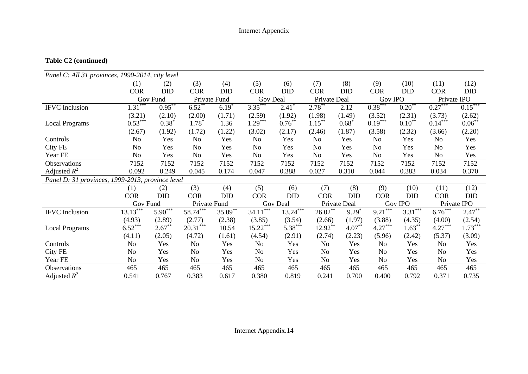## **Table C2 (continued)**

| Panel C: All 31 provinces, 1990-2014, city level |                |            |              |              |                |                 |                |                  |                |                |                |             |
|--------------------------------------------------|----------------|------------|--------------|--------------|----------------|-----------------|----------------|------------------|----------------|----------------|----------------|-------------|
|                                                  | (1)            | (2)        | (3)          | (4)          | (5)            | (6)             | (7)            | (8)              | (9)            | (10)           | (11)           | (12)        |
|                                                  | <b>COR</b>     | <b>DID</b> | <b>COR</b>   | <b>DID</b>   | <b>COR</b>     | <b>DID</b>      | <b>COR</b>     | <b>DID</b>       | <b>COR</b>     | <b>DID</b>     | <b>COR</b>     | <b>DID</b>  |
|                                                  |                | Gov Fund   |              | Private Fund | Gov Deal       |                 | Private Deal   |                  | <b>Gov IPO</b> |                | Private IPO    |             |
| <b>IFVC</b> Inclusion                            | $1.31***$      | $0.95***$  | $6.52***$    | $6.19*$      | $3.35***$      | $2.41*$         | $2.78***$      | 2.12             | $0.38***$      | $0.20***$      | $0.27***$      | $0.15***$   |
|                                                  | (3.21)         | (2.10)     | (2.00)       | (1.71)       | (2.59)         | (1.92)          | (1.98)         | (1.49)           | (3.52)         | (2.31)         | (3.73)         | (2.62)      |
| <b>Local Programs</b>                            | $0.53***$      | $0.38*$    | $1.78^{*}$   | 1.36         | $1.29***$      | $0.76^{**}$     | $1.15***$      | $0.68*$          | $0.19***$      | $0.10^{**}$    | $0.14***$      | $0.06^{**}$ |
|                                                  | (2.67)         | (1.92)     | (1.72)       | (1.22)       | (3.02)         | (2.17)          | (2.46)         | (1.87)           | (3.58)         | (2.32)         | (3.66)         | (2.20)      |
| Controls                                         | No             | Yes        | No           | Yes          | No             | Yes             | No             | Yes              | No             | Yes            | No             | Yes         |
| City FE                                          | No             | Yes        | No           | Yes          | No             | Yes             | No             | Yes              | No             | Yes            | N <sub>0</sub> | Yes         |
| Year FE                                          | No.            | Yes        | No           | Yes          | N <sub>o</sub> | Yes             | N <sub>o</sub> | Yes              | N <sub>o</sub> | Yes            | N <sub>o</sub> | Yes         |
| Observations                                     | 7152           | 7152       | 7152         | 7152         | 7152           | 7152            | 7152           | 7152             | 7152           | 7152           | 7152           | 7152        |
| Adjusted $R^2$                                   | 0.092          | 0.249      | 0.045        | 0.174        | 0.047          | 0.388           | 0.027          | 0.310            | 0.044          | 0.383          | 0.034          | 0.370       |
| Panel D: 31 provinces, 1999-2013, province level |                |            |              |              |                |                 |                |                  |                |                |                |             |
|                                                  | (1)            | (2)        | (3)          | (4)          | (5)            | (6)             | (7)            | (8)              | (9)            | (10)           | (11)           | (12)        |
|                                                  | <b>COR</b>     | <b>DID</b> | <b>COR</b>   | <b>DID</b>   | <b>COR</b>     | <b>DID</b>      | <b>COR</b>     | <b>DID</b>       | <b>COR</b>     | <b>DID</b>     | <b>COR</b>     | DID         |
|                                                  | Gov Fund       |            | Private Fund |              |                | <b>Gov Deal</b> |                | Private Deal     |                | <b>Gov IPO</b> |                | Private IPO |
| <b>IFVC</b> Inclusion                            | $13.13***$     | $5.90***$  | 58.74***     | 35.09**      | ***<br>34.11   | $13.24***$      | $26.02***$     | $9.29^{\degree}$ | $9.21***$      | $3.31***$      | $6.76***$      | $2.47***$   |
|                                                  | (4.93)         | (2.89)     | (2.77)       | (2.38)       | (3.85)         | (3.54)          | (2.66)         | (1.97)           | (3.88)         | (4.35)         | (4.00)         | (2.54)      |
| <b>Local Programs</b>                            | $6.52***$      | $2.67**$   | $20.31***$   | 10.54        | $15.22***$     | $5.38***$       | 12.92**        | $4.07**$         | $4.27***$      | $1.63***$      | $4.27***$      | $1.73***$   |
|                                                  | (4.11)         | (2.05)     | (4.72)       | (1.61)       | (4.54)         | (2.91)          | (2.74)         | (2.23)           | (5.96)         | (2.42)         | (5.37)         | (3.09)      |
| Controls                                         | N <sub>o</sub> | Yes        | No           | Yes          | No             | Yes             | N <sub>o</sub> | Yes              | No             | Yes            | No             | Yes         |
| City FE                                          | No             | Yes        | No.          | Yes          | No             | Yes             | N <sub>o</sub> | Yes              | N <sub>o</sub> | Yes            | No             | Yes         |
| Year FE                                          | N <sub>o</sub> | Yes        | No           | Yes          | No             | Yes             | N <sub>o</sub> | Yes              | No             | Yes            | No             | Yes         |
| Observations                                     | 465            | 465        | 465          | 465          | 465            | 465             | 465            | 465              | 465            | 465            | 465            | 465         |
| Adjusted $R^2$                                   | 0.541          | 0.767      | 0.383        | 0.617        | 0.380          | 0.819           | 0.241          | 0.700            | 0.400          | 0.792          | 0.371          | 0.735       |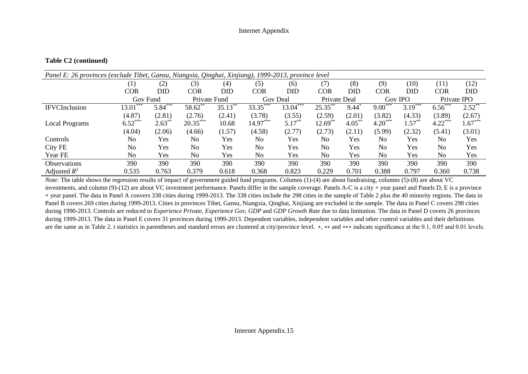#### **Table C2 (continued)**

| Panel E: 26 provinces (exclude Tibet, Gansu, Niangxia, Qinghai, Xinjiang), 1999-2013, province level |                   |            |                |            |                |            |                |            |                |           |                |            |
|------------------------------------------------------------------------------------------------------|-------------------|------------|----------------|------------|----------------|------------|----------------|------------|----------------|-----------|----------------|------------|
|                                                                                                      | $\left( 1\right)$ | (2)        | (3)            | (4)        | (5)            | (6)        | (7)            | (8)        | (9)            | (10)      | (11)           | (12)       |
|                                                                                                      | <b>COR</b>        | <b>DID</b> | COR            | <b>DID</b> | <b>COR</b>     | DID        | COR            | <b>DID</b> | <b>COR</b>     | DID       | <b>COR</b>     | <b>DID</b> |
|                                                                                                      | Gov Fund          |            | Private Fund   |            | Gov Deal       |            | Private Deal   |            |                | Gov IPO   | Private IPO    |            |
| <b>IFVCInclusion</b>                                                                                 | ***<br>13.01      | $5.84***$  | 58.62**        | $35.13***$ | 33.35***       | $13.04***$ | $25.35***$     | 9.44       | $9.00***$      | $3.19***$ | $6.56***$      | $2.52***$  |
|                                                                                                      | (4.87)            | (2.81)     | (2.76)         | (2.41)     | (3.78)         | (3.55)     | (2.59)         | (2.01)     | (3.82)         | (4.33)    | (3.89)         | (2.67)     |
| <b>Local Programs</b>                                                                                | $6.52***$         | $2.63***$  | $20.35***$     | 10.68      | $14.97***$     | $5.17***$  | $12.69$ **     | $4.05*$    | $4.20***$      | $1.57***$ | $4.22***$      | $1.67***$  |
|                                                                                                      | (4.04)            | (2.06)     | (4.66)         | (1.57)     | (4.58)         | (2.77)     | (2.73)         | (2.11)     | (5.99)         | (2.32)    | (5.41)         | (3.01)     |
| Controls                                                                                             | No                | Yes        | No             | Yes        | No             | Yes        | N <sub>0</sub> | Yes        | No             | Yes       | No             | Yes        |
| City FE                                                                                              | No                | Yes        | N <sub>0</sub> | Yes        | N <sub>0</sub> | Yes        | N <sub>0</sub> | Yes        | N <sub>0</sub> | Yes       | N <sub>0</sub> | Yes        |
| Year FE                                                                                              | No                | Yes        | No             | Yes        | N <sub>o</sub> | Yes        | N <sub>o</sub> | Yes        | No             | Yes       | No             | Yes        |
| <b>Observations</b>                                                                                  | 390               | 390        | 390            | 390        | 390            | 390        | 390            | 390        | 390            | 390       | 390            | 390        |
| Adjusted $R^2$                                                                                       | 0.535             | 0.763      | 0.379          | 0.618      | 0.368          | 0.823      | 0.229          | 0.701      | 0.388          | 0.797     | 0.360          | 0.738      |

*Note:* The table shows the regression results of impact of government guided fund programs. Columns (1)-(4) are about fundraising, columns (5)-(8) are about VC investments, and column (9)-(12) are about VC investment performance. Panels differ in the sample coverage. Panels A-C is a city  $\times$  year panel and Panels D, E is a province × year panel. The data in Panel A convers 338 cities during 1999-2013. The 338 cities include the 298 cities in the sample of Table 2 plus the 40 minority regions. The data in Panel B covers 269 cities during 1999-2013. Cities in provinces Tibet, Gansu, Niangxia, Qinghai, Xinjiang are excluded in the sample. The data in Panel C covers 298 cities during 1990-2013. Controls are reduced to *Experience Private*, *Experience Gov, GDP* and *GDP Growth Rate* due to data limitation. The data in Panel D covers 26 provinces during 1999-2013. The data in Panel E covers 31 provinces during 1999-2013. Dependent variables, independent variables and other control variables and their definitions are the same as in Table 2. *t* statistics in parentheses and standard errors are clustered at city/province level. \*, \*\* and \*\*\* indicate significance at the 0.1, 0.05 and 0.01 levels.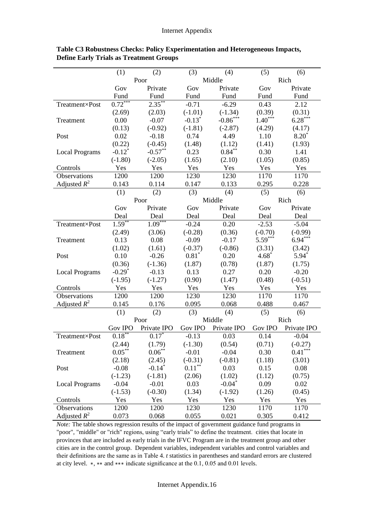|                       | (1)                  | (2)                      | (3)            | (4)         | (5)            | (6)         |
|-----------------------|----------------------|--------------------------|----------------|-------------|----------------|-------------|
|                       |                      | Poor                     |                | Middle      |                | Rich        |
|                       | Gov                  | Private                  | Gov            | Private     | Gov            | Private     |
|                       | Fund                 | Fund                     | Fund           | Fund        | Fund           | Fund        |
| Treatment×Post        | $0.72***$            | $2.35***$                | $-0.71$        | $-6.29$     | 0.43           | 2.12        |
|                       | (2.69)               | (2.03)                   | $(-1.01)$      | $(-1.34)$   | (0.39)         | (0.31)      |
| Treatment             | 0.00                 | $-0.07$                  | $-0.13*$       | $-0.86***$  | $1.40***$      | $6.28***$   |
|                       | (0.13)               | $(-0.92)$                | $(-1.81)$      | $(-2.87)$   | (4.29)         | (4.17)      |
| Post                  | 0.02                 | $-0.18$                  | 0.74           | 4.49        | 1.10           | $8.20*$     |
|                       | (0.22)               | $(-0.45)$                | (1.48)         | (1.12)      | (1.41)         | (1.93)      |
| <b>Local Programs</b> | $-0.12$ <sup>*</sup> | $-0.57***$               | 0.23           | $0.84***$   | 0.30           | 1.41        |
|                       | $(-1.80)$            | $(-2.05)$                | (1.65)         | (2.10)      | (1.05)         | (0.85)      |
| Controls              | Yes                  | Yes                      | Yes            | Yes         | Yes            | Yes         |
| Observations          | 1200                 | 1200                     | 1230           | 1230        | 1170           | 1170        |
| Adjusted $R^2$        | 0.143                | 0.114                    | 0.147          | 0.133       | 0.295          | 0.228       |
|                       | (1)                  | (2)                      | (3)            | (4)         | (5)            | (6)         |
|                       |                      | Poor                     |                | Middle      |                | Rich        |
|                       | Gov                  | Private                  | Gov            | Private     | Gov            | Private     |
|                       | Deal                 | Deal                     | Deal           | Deal        | Deal           | Deal        |
| Treatment×Post        | $1.59***$            | $1.09***$                | $-0.24$        | 0.20        | $-2.53$        | $-5.04$     |
|                       | (2.49)               | (3.06)                   | $(-0.28)$      | (0.36)      | $(-0.70)$      | $(-0.99)$   |
| Treatment             | 0.13                 | 0.08                     | $-0.09$        | $-0.17$     | $5.59***$      | $6.94***$   |
|                       | (1.02)               | (1.61)                   | $(-0.37)$      | $(-0.86)$   | (3.31)         | (3.42)      |
| Post                  | 0.10                 | $-0.26$                  | $0.81*$        | 0.20        | $4.68*$        | $5.94*$     |
|                       | (0.36)               | $(-1.36)$                | (1.87)         | (0.78)      | (1.87)         | (1.75)      |
| <b>Local Programs</b> | $-0.29*$             | $-0.13$                  | 0.13           | 0.27        | 0.20           | $-0.20$     |
|                       | $(-1.95)$            | $(-1.27)$                | (0.90)         | (1.47)      | (0.48)         | $(-0.51)$   |
| Controls              | Yes                  | Yes                      | Yes            | Yes         | Yes            | Yes         |
| Observations          | 1200                 | 1200                     | 1230           | 1230        | 1170           | 1170        |
| Adjusted $R^2$        | 0.145                | 0.176                    | 0.095          | 0.068       | 0.488          | 0.467       |
|                       | (1)                  | (2)                      | (3)            | (4)         | (5)            | (6)         |
|                       |                      | Poor                     |                | Middle      |                | Rich        |
|                       | <b>Gov IPO</b>       | Private IPO              | <b>Gov IPO</b> | Private IPO | <b>Gov IPO</b> | Private IPO |
| Treatment×Post        | $0.18^{**}$          | $0.17^*$                 | $-0.13$        | 0.03        | 0.14           | $-0.04$     |
|                       | (2.44)               | (1.79)                   | $(-1.30)$      | (0.54)      | (0.71)         | $(-0.27)$   |
| Treatment             | $0.05***$            | $0.06\ensuremath{^{**}}$ | $-0.01$        | $-0.04$     | 0.30           | $0.41***$   |
|                       | (2.18)               | (2.45)                   | $(-0.31)$      | $(-0.81)$   | (1.18)         | (3.01)      |
| Post                  | $-0.08$              | $-0.14$ <sup>*</sup>     | $0.11***$      | 0.03        | 0.15           | 0.08        |
|                       | $(-1.23)$            | $(-1.81)$                | (2.06)         | (1.02)      | (1.12)         | (0.75)      |
| <b>Local Programs</b> | $-0.04$              | $-0.01$                  | 0.03           | $-0.04^*$   | 0.09           | 0.02        |
|                       | $(-1.53)$            | $(-0.30)$                | (1.34)         | $(-1.92)$   | (1.26)         | (0.45)      |
| Controls              | Yes                  | Yes                      | Yes            | Yes         | Yes            | Yes         |
| Observations          | 1200                 | 1200                     | 1230           | 1230        | 1170           | 1170        |
| Adjusted $R^2$        | 0.073                | 0.068                    | 0.055          | 0.021       | 0.305          | 0.412       |

**Table C3 Robustness Checks: Policy Experimentation and Heterogeneous Impacts, Define Early Trials as Treatment Groups**

*Note:* The table shows regression results of the impact of government guidance fund programs in "poor", "middle" or "rich" regions, using "early trials" to define the treatment. cities that locate in provinces that are included as early trials in the IFVC Program are in the treatment group and other cities are in the control group. Dependent variables, independent variables and control variables and their definitions are the same as in Table 4. *t* statistics in parentheses and standard errors are clustered at city level. ∗, ∗∗ and ∗∗∗ indicate significance at the 0.1, 0.05 and 0.01 levels.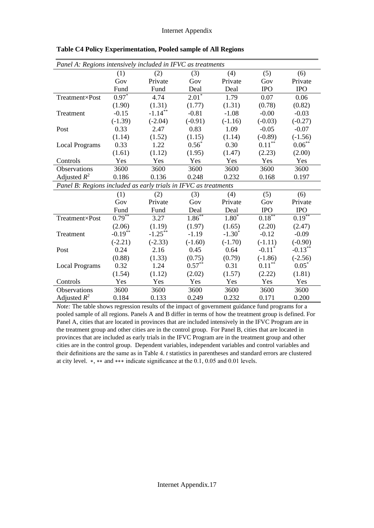| Panel A: Regions intensively included in IFVC as treatments     |            |            |             |           |                      |            |  |  |  |  |
|-----------------------------------------------------------------|------------|------------|-------------|-----------|----------------------|------------|--|--|--|--|
|                                                                 | (1)        | (2)        | (3)         | (4)       | (5)                  | (6)        |  |  |  |  |
|                                                                 | Gov        | Private    | Gov         | Private   | Gov                  | Private    |  |  |  |  |
|                                                                 | Fund       | Fund       | Deal        | Deal      | <b>IPO</b>           | <b>IPO</b> |  |  |  |  |
| Treatment×Post                                                  | $0.97*$    | 4.74       | $2.01*$     | 1.79      | 0.07                 | 0.06       |  |  |  |  |
|                                                                 | (1.90)     | (1.31)     | (1.77)      | (1.31)    | (0.78)               | (0.82)     |  |  |  |  |
| Treatment                                                       | $-0.15$    | $-1.14***$ | $-0.81$     | $-1.08$   | $-0.00$              | $-0.03$    |  |  |  |  |
|                                                                 | $(-1.39)$  | $(-2.04)$  | $(-0.91)$   | $(-1.16)$ | $(-0.03)$            | $(-0.27)$  |  |  |  |  |
| Post                                                            | 0.33       | 2.47       | 0.83        | 1.09      | $-0.05$              | $-0.07$    |  |  |  |  |
|                                                                 | (1.14)     | (1.52)     | (1.15)      | (1.14)    | $(-0.89)$            | $(-1.56)$  |  |  |  |  |
| <b>Local Programs</b>                                           | 0.33       | 1.22       | $0.56*$     | 0.30      | $0.11^{\ast\ast}$    | $0.06***$  |  |  |  |  |
|                                                                 | (1.61)     | (1.12)     | (1.95)      | (1.47)    | (2.23)               | (2.00)     |  |  |  |  |
| Controls                                                        | Yes        | Yes        | Yes         | Yes       | Yes                  | Yes        |  |  |  |  |
| Observations                                                    | 3600       | 3600       | 3600        | 3600      | 3600                 | 3600       |  |  |  |  |
| Adjusted $R^2$                                                  | 0.186      | 0.136      | 0.248       | 0.232     | 0.168                | 0.197      |  |  |  |  |
| Panel B: Regions included as early trials in IFVC as treatments |            |            |             |           |                      |            |  |  |  |  |
|                                                                 | (1)        | (2)        | (3)         | (4)       | (5)                  | (6)        |  |  |  |  |
|                                                                 | Gov        | Private    | Gov         | Private   | Gov                  | Private    |  |  |  |  |
|                                                                 | Fund       | Fund       | Deal        | Deal      | <b>IPO</b>           | <b>IPO</b> |  |  |  |  |
| Treatment×Post                                                  | $0.79***$  | 3.27       | $1.86^{**}$ | $1.80*$   | $0.18^{**}$          | $0.19***$  |  |  |  |  |
|                                                                 | (2.06)     | (1.19)     | (1.97)      | (1.65)    | (2.20)               | (2.47)     |  |  |  |  |
| Treatment                                                       | $-0.19***$ | $-1.25***$ | $-1.19$     | $-1.30*$  | $-0.12$              | $-0.09$    |  |  |  |  |
|                                                                 | $(-2.21)$  | $(-2.33)$  | $(-1.60)$   | $(-1.70)$ | $(-1.11)$            | $(-0.90)$  |  |  |  |  |
| Post                                                            | 0.24       | 2.16       | 0.45        | 0.64      | $-0.11$ <sup>*</sup> | $-0.13***$ |  |  |  |  |
|                                                                 | (0.88)     | (1.33)     | (0.75)      | (0.79)    | $(-1.86)$            | $(-2.56)$  |  |  |  |  |
| <b>Local Programs</b>                                           | 0.32       | 1.24       | $0.57***$   | 0.31      | $0.11***$            | $0.05*$    |  |  |  |  |
|                                                                 | (1.54)     | (1.12)     | (2.02)      | (1.57)    | (2.22)               | (1.81)     |  |  |  |  |
| Controls                                                        | Yes        | Yes        | Yes         | Yes       | Yes                  | Yes        |  |  |  |  |
| Observations                                                    | 3600       | 3600       | 3600        | 3600      | 3600                 | 3600       |  |  |  |  |
| Adjusted $R^2$                                                  | 0.184      | 0.133      | 0.249       | 0.232     | 0.171                | 0.200      |  |  |  |  |

**Table C4 Policy Experimentation, Pooled sample of All Regions** 

*Note:* The table shows regression results of the impact of government guidance fund programs for a pooled sample of all regions. Panels A and B differ in terms of how the treatment group is defined. For Panel A, cities that are located in provinces that are included intensively in the IFVC Program are in the treatment group and other cities are in the control group. For Panel B, cities that are located in provinces that are included as early trials in the IFVC Program are in the treatment group and other cities are in the control group. Dependent variables, independent variables and control variables and their definitions are the same as in Table 4. *t* statistics in parentheses and standard errors are clustered at city level. ∗, ∗∗ and ∗∗∗ indicate significance at the 0.1, 0.05 and 0.01 levels.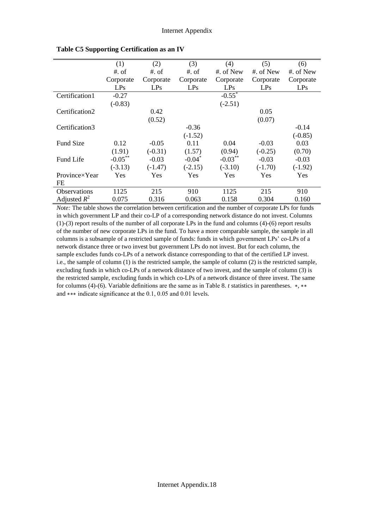|                     | (1)        | (2)       | (3)                  | (4)                  | (5)       | (6)       |
|---------------------|------------|-----------|----------------------|----------------------|-----------|-----------|
|                     | $#$ . of   | $#$ . of  | $#$ . of             | #. of New            | #. of New | #. of New |
|                     | Corporate  | Corporate | Corporate            | Corporate            | Corporate | Corporate |
|                     | LPs        | LPs       | LPs                  | LPs                  | LPs       | LPs       |
| Certification1      | $-0.27$    |           |                      | $-0.55$ <sup>*</sup> |           |           |
|                     | $(-0.83)$  |           |                      | $(-2.51)$            |           |           |
| Certification2      |            | 0.42      |                      |                      | 0.05      |           |
|                     |            | (0.52)    |                      |                      | (0.07)    |           |
| Certification3      |            |           | $-0.36$              |                      |           | $-0.14$   |
|                     |            |           | $(-1.52)$            |                      |           | $(-0.85)$ |
| <b>Fund Size</b>    | 0.12       | $-0.05$   | 0.11                 | 0.04                 | $-0.03$   | 0.03      |
|                     | (1.91)     | $(-0.31)$ | (1.57)               | (0.94)               | $(-0.25)$ | (0.70)    |
| Fund Life           | $-0.05***$ | $-0.03$   | $-0.04$ <sup>*</sup> | $-0.03***$           | $-0.03$   | $-0.03$   |
|                     | $(-3.13)$  | $(-1.47)$ | $(-2.15)$            | $(-3.10)$            | $(-1.70)$ | $(-1.92)$ |
| Province×Year       | Yes        | Yes       | Yes                  | <b>Yes</b>           | Yes       | Yes       |
| FE                  |            |           |                      |                      |           |           |
| <b>Observations</b> | 1125       | 215       | 910                  | 1125                 | 215       | 910       |
| Adjusted $R^2$      | 0.075      | 0.316     | 0.063                | 0.158                | 0.304     | 0.160     |

**Table C5 Supporting Certification as an IV**

*Note:* The table shows the correlation between certification and the number of corporate LPs for funds in which government LP and their co-LP of a corresponding network distance do not invest. Columns (1)-(3) report results of the number of all corporate LPs in the fund and columns (4)-(6) report results of the number of new corporate LPs in the fund. To have a more comparable sample, the sample in all columns is a subsample of a restricted sample of funds: funds in which government LPs' co-LPs of a network distance three or two invest but government LPs do not invest. But for each column, the sample excludes funds co-LPs of a network distance corresponding to that of the certified LP invest. i.e., the sample of column (1) is the restricted sample, the sample of column (2) is the restricted sample, excluding funds in which co-LPs of a network distance of two invest, and the sample of column (3) is the restricted sample, excluding funds in which co-LPs of a network distance of three invest. The same for columns (4)-(6). Variable definitions are the same as in Table 8. *t* statistics in parentheses. \*, \*\* and ∗∗∗ indicate significance at the 0.1, 0.05 and 0.01 levels.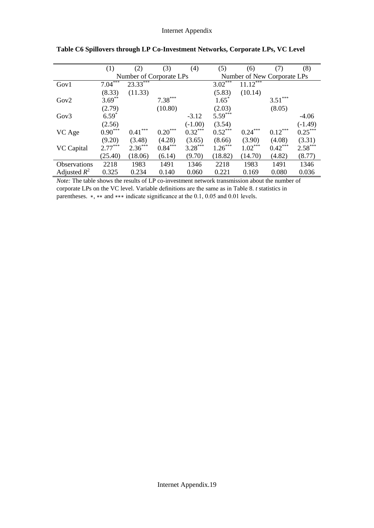|                     | (1)       | (2)                     | (3)       | (4)       | (5)                         | (6)       | (7)       | (8)       |  |
|---------------------|-----------|-------------------------|-----------|-----------|-----------------------------|-----------|-----------|-----------|--|
|                     |           | Number of Corporate LPs |           |           | Number of New Corporate LPs |           |           |           |  |
| Gov1                | $7.04***$ | 23.33***                |           |           | $3.02$ <sup>***</sup>       | 11.12     |           |           |  |
|                     | (8.33)    | (11.33)                 |           |           | (5.83)                      | (10.14)   |           |           |  |
| Gov2                | $3.69***$ |                         | $7.38***$ |           | $1.65*$                     |           | $3.51***$ |           |  |
|                     | (2.79)    |                         | (10.80)   |           | (2.03)                      |           | (8.05)    |           |  |
| Gov <sub>3</sub>    | $6.59*$   |                         |           | $-3.12$   | $5.59***$                   |           |           | $-4.06$   |  |
|                     | (2.56)    |                         |           | $(-1.00)$ | (3.54)                      |           |           | $(-1.49)$ |  |
| VC Age              | $0.90***$ | $0.41***$               | $0.20***$ | $0.32***$ | $0.52***$                   | $0.24***$ | $0.12***$ | $0.25***$ |  |
|                     | (9.20)    | (3.48)                  | (4.28)    | (3.65)    | (8.66)                      | (3.90)    | (4.08)    | (3.31)    |  |
| VC Capital          | $2.77***$ | $2.36***$               | $0.84***$ | $3.28***$ | $1.26***$                   | $1.02***$ | $0.42***$ | $2.58***$ |  |
|                     | (25.40)   | (18.06)                 | (6.14)    | (9.70)    | (18.82)                     | (14.70)   | (4.82)    | (8.77)    |  |
| <b>Observations</b> | 2218      | 1983                    | 1491      | 1346      | 2218                        | 1983      | 1491      | 1346      |  |
| Adjusted $R^2$      | 0.325     | 0.234                   | 0.140     | 0.060     | 0.221                       | 0.169     | 0.080     | 0.036     |  |

*Note:* The table shows the results of LP co-investment network transmission about the number of corporate LPs on the VC level. Variable definitions are the same as in Table 8. *t* statistics in parentheses.  $\ast$ ,  $\ast\ast$  and  $\ast\ast\ast$  indicate significance at the 0.1, 0.05 and 0.01 levels.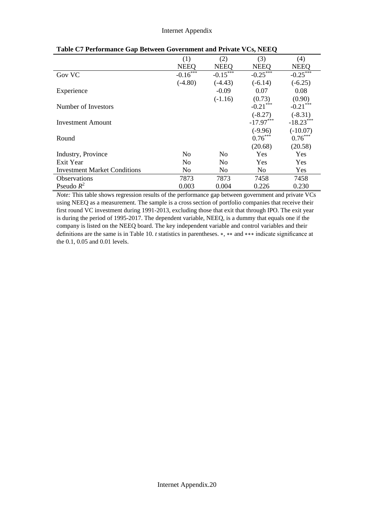|                                     | (1)            | (2)            | (3)            | (4)         |
|-------------------------------------|----------------|----------------|----------------|-------------|
|                                     | <b>NEEQ</b>    | <b>NEEQ</b>    | <b>NEEQ</b>    | <b>NEEQ</b> |
| <b>Gov VC</b>                       | $-0.16$        | $-0.15$        | $-0.25***$     | $-0.25$     |
|                                     | $(-4.80)$      | $(-4.43)$      | $(-6.14)$      | $(-6.25)$   |
| Experience                          |                | $-0.09$        | 0.07           | 0.08        |
|                                     |                | $(-1.16)$      | (0.73)         | (0.90)      |
| Number of Investors                 |                |                | $-0.21$ ***    | $-0.21$ *** |
|                                     |                |                | $(-8.27)$      | $(-8.31)$   |
| <b>Investment Amount</b>            |                |                | $-17.97***$    | $-18.23***$ |
|                                     |                |                | $(-9.96)$      | $(-10.07)$  |
| Round                               |                |                | $0.76***$      | $0.76***$   |
|                                     |                |                | (20.68)        | (20.58)     |
| Industry, Province                  | No             | N <sub>0</sub> | Yes            | Yes         |
| Exit Year                           | N <sub>0</sub> | N <sub>0</sub> | Yes            | Yes         |
| <b>Investment Market Conditions</b> | No             | N <sub>o</sub> | N <sub>0</sub> | Yes         |
| <b>Observations</b>                 | 7873           | 7873           | 7458           | 7458        |
| Pseudo $R^2$                        | 0.003          | 0.004          | 0.226          | 0.230       |

| Table C7 Performance Gap Between Government and Private VCs, NEEQ |
|-------------------------------------------------------------------|
|-------------------------------------------------------------------|

*Note:* This table shows regression results of the performance gap between government and private VCs using NEEQ as a measurement. The sample is a cross section of portfolio companies that receive their first round VC investment during 1991-2013, excluding those that exit that through IPO. The exit year is during the period of 1995-2017. The dependent variable, NEEQ, is a dummy that equals one if the company is listed on the NEEQ board. The key independent variable and control variables and their definitions are the same is in Table 10. *t* statistics in parentheses. ∗, ∗∗ and ∗∗∗ indicate significance at the 0.1, 0.05 and 0.01 levels.